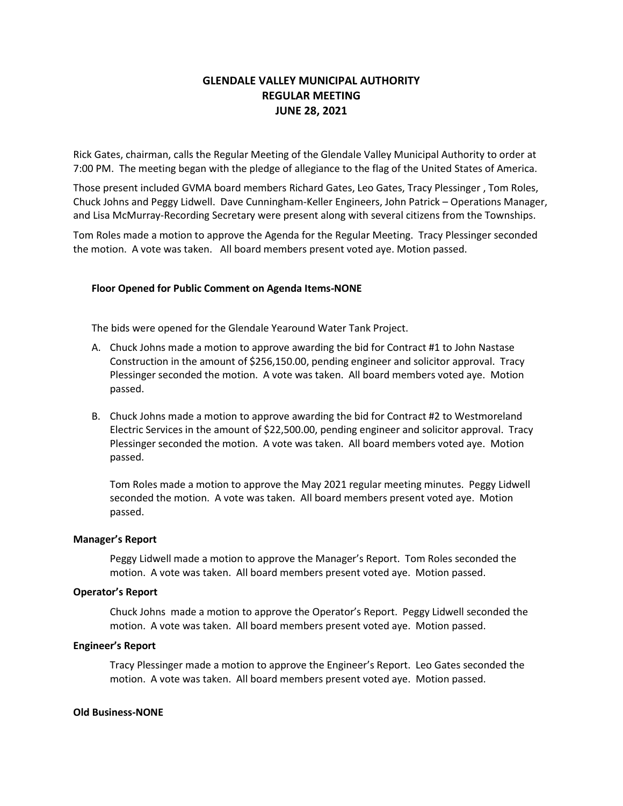# **GLENDALE VALLEY MUNICIPAL AUTHORITY REGULAR MEETING JUNE 28, 2021**

Rick Gates, chairman, calls the Regular Meeting of the Glendale Valley Municipal Authority to order at 7:00 PM. The meeting began with the pledge of allegiance to the flag of the United States of America.

Those present included GVMA board members Richard Gates, Leo Gates, Tracy Plessinger , Tom Roles, Chuck Johns and Peggy Lidwell. Dave Cunningham-Keller Engineers, John Patrick – Operations Manager, and Lisa McMurray-Recording Secretary were present along with several citizens from the Townships.

Tom Roles made a motion to approve the Agenda for the Regular Meeting. Tracy Plessinger seconded the motion. A vote was taken. All board members present voted aye. Motion passed.

## **Floor Opened for Public Comment on Agenda Items-NONE**

The bids were opened for the Glendale Yearound Water Tank Project.

- A. Chuck Johns made a motion to approve awarding the bid for Contract #1 to John Nastase Construction in the amount of \$256,150.00, pending engineer and solicitor approval. Tracy Plessinger seconded the motion. A vote was taken. All board members voted aye. Motion passed.
- B. Chuck Johns made a motion to approve awarding the bid for Contract #2 to Westmoreland Electric Services in the amount of \$22,500.00, pending engineer and solicitor approval. Tracy Plessinger seconded the motion. A vote was taken. All board members voted aye. Motion passed.

Tom Roles made a motion to approve the May 2021 regular meeting minutes. Peggy Lidwell seconded the motion. A vote was taken. All board members present voted aye. Motion passed.

#### **Manager's Report**

Peggy Lidwell made a motion to approve the Manager's Report. Tom Roles seconded the motion. A vote was taken. All board members present voted aye. Motion passed.

# **Operator's Report**

Chuck Johns made a motion to approve the Operator's Report. Peggy Lidwell seconded the motion. A vote was taken. All board members present voted aye. Motion passed.

## **Engineer's Report**

Tracy Plessinger made a motion to approve the Engineer's Report. Leo Gates seconded the motion. A vote was taken. All board members present voted aye. Motion passed.

#### **Old Business-NONE**